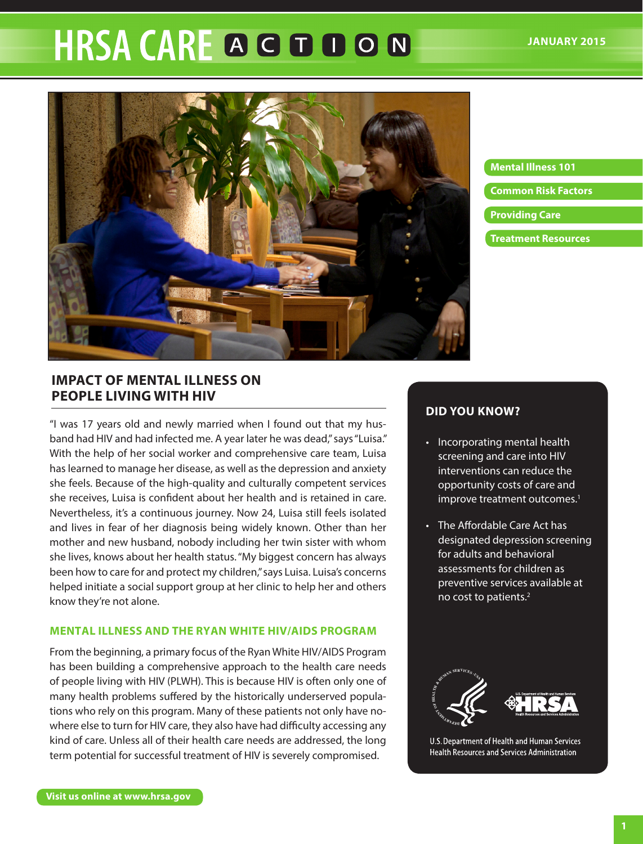# **HRSA CARE A G D D O N**



**Mental Illness 101 Common Risk Factors Providing Care Treatment Resources**

# **IMPACT OF MENTAL ILLNESS ON PEOPLE LIVING WITH HIV**

"I was 17 years old and newly married when I found out that my husband had HIV and had infected me. A year later he was dead," says "Luisa." With the help of her social worker and comprehensive care team, Luisa has learned to manage her disease, as well as the depression and anxiety she feels. Because of the high-quality and culturally competent services she receives, Luisa is confident about her health and is retained in care. Nevertheless, it's a continuous journey. Now 24, Luisa still feels isolated and lives in fear of her diagnosis being widely known. Other than her mother and new husband, nobody including her twin sister with whom she lives, knows about her health status. "My biggest concern has always been how to care for and protect my children," says Luisa. Luisa's concerns helped initiate a social support group at her clinic to help her and others know they're not alone.

## **MENTAL ILLNESS AND THE RYAN WHITE HIV/AIDS PROGRAM**

From the beginning, a primary focus of the Ryan White HIV/AIDS Program has been building a comprehensive approach to the health care needs of people living with HIV (PLWH). This is because HIV is often only one of many health problems suffered by the historically underserved populations who rely on this program. Many of these patients not only have nowhere else to turn for HIV care, they also have had difficulty accessing any kind of care. Unless all of their health care needs are addressed, the long term potential for successful treatment of HIV is severely compromised.

# **DID YOU KNOW?**

- Incorporating mental health screening and care into HIV interventions can reduce the opportunity costs of care and improve treatment outcomes.<sup>1</sup>
- The Affordable Care Act has designated depression screening for adults and behavioral assessments for children as preventive services available at no cost to patients.2



U.S. Department of Health and Human Services Health Resources and Services Administration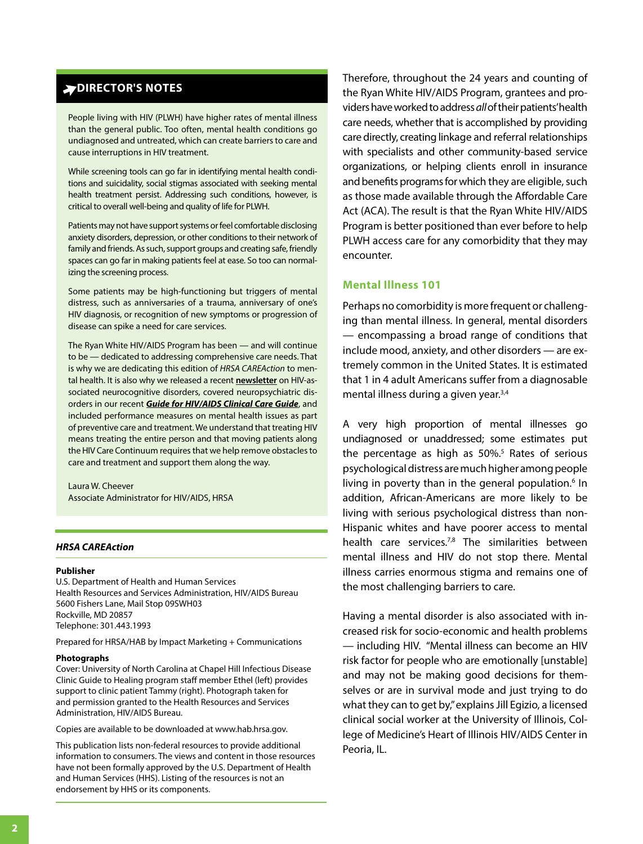## **DIRECTOR'S NOTES**

People living with HIV (PLWH) have higher rates of mental illness than the general public. Too often, mental health conditions go undiagnosed and untreated, which can create barriers to care and cause interruptions in HIV treatment.

While screening tools can go far in identifying mental health conditions and suicidality, social stigmas associated with seeking mental health treatment persist. Addressing such conditions, however, is critical to overall well-being and quality of life for PLWH.

Patients may not have support systems or feel comfortable disclosing anxiety disorders, depression, or other conditions to their network of family and friends. As such, support groups and creating safe, friendly spaces can go far in making patients feel at ease. So too can normalizing the screening process.

Some patients may be high-functioning but triggers of mental distress, such as anniversaries of a trauma, anniversary of one's HIV diagnosis, or recognition of new symptoms or progression of disease can spike a need for care services.

tal health. It is also why we released a recent <u>[newsletter](http://www.hab.hrsa.gov/deliverhivaidscare/hrsacareactionnewsletter.pdf)</u> on HIV-asorders in our recent **[Guide for HIV/AIDS Clinical Care Guide](http://www.hab.hrsa.gov/deliverhivaidscare/2014guide.pdf)**, and The Ryan White HIV/AIDS Program has been — and will continue to be — dedicated to addressing comprehensive care needs. That is why we are dedicating this edition of *HRSA CAREAction* to mensociated neurocognitive disorders, covered neuropsychiatric disincluded performance measures on mental health issues as part of preventive care and treatment. We understand that treating HIV means treating the entire person and that moving patients along the HIV Care Continuum requires that we help remove obstacles to care and treatment and support them along the way.

Laura W. Cheever Associate Administrator for HIV/AIDS, HRSA

#### **HRSA CAREAction**

#### **Publisher**

U.S. Department of Health and Human Services Health Resources and Services Administration, HIV/AIDS Bureau 5600 Fishers Lane, Mail Stop 09SWH03 Rockville, MD 20857 Telephone: 301.443.1993

Prepared for HRSA/HAB by Impact Marketing + Communications

#### Photographs

Cover: University of North Carolina at Chapel Hill Infectious Disease Clinic Guide to Healing program staff member Ethel (left) provides support to clinic patient Tammy (right). Photograph taken for and permission granted to the Health Resources and Services Administration, HIV/AIDS Bureau.

Copies are available to be downloaded at www.hab.hrsa.gov.

This publication lists non-federal resources to provide additional information to consumers. The views and content in those resources have not been formally approved by the U.S. Department of Health and Human Services (HHS). Listing of the resources is not an endorsement by HHS or its components.

**THERE INTERNATION TERFECT (ASSOC)**<br>
Therefore, throughout the 24 years and counting of the HV/AIDS Program, grantees and pro-<br>
In public Too dene, mental heading contents and the completion distinct and the metal the prop the Ryan White HIV/AIDS Program, grantees and providers have worked to address *all* of their patients' health care needs, whether that is accomplished by providing care directly, creating linkage and referral relationships with specialists and other community-based service organizations, or helping clients enroll in insurance and benefits programs for which they are eligible, such as those made available through the Affordable Care Act (ACA). The result is that the Ryan White HIV/AIDS Program is better positioned than ever before to help PLWH access care for any comorbidity that they may encounter.

#### **Mental Illness 101**

Perhaps no comorbidity is more frequent or challenging than mental illness. In general, mental disorders — encompassing a broad range of conditions that include mood, anxiety, and other disorders — are extremely common in the United States. It is estimated that 1 in 4 adult Americans suffer from a diagnosable mental illness during a given year.3,4

A very high proportion of mental illnesses go undiagnosed or unaddressed; some estimates put the percentage as high as  $50\%$ <sup>5</sup> Rates of serious psychological distress are much higher among people living in poverty than in the general population.<sup>6</sup> In addition, African-Americans are more likely to be living with serious psychological distress than non-Hispanic whites and have poorer access to mental health care services.<sup>7,8</sup> The similarities between mental illness and HIV do not stop there. Mental illness carries enormous stigma and remains one of the most challenging barriers to care.

Having a mental disorder is also associated with increased risk for socio-economic and health problems — including HIV. "Mental illness can become an HIV risk factor for people who are emotionally [unstable] and may not be making good decisions for themselves or are in survival mode and just trying to do what they can to get by," explains Jill Egizio, a licensed clinical social worker at the University of Illinois, College of Medicine's Heart of Illinois HIV/AIDS Center in Peoria, IL.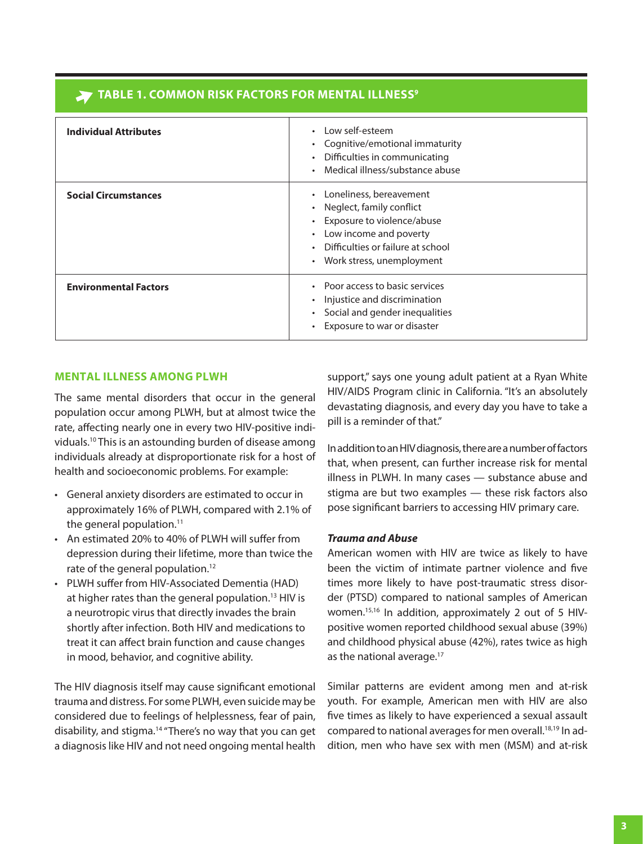# **TABLE 1. COMMON RISK FACTORS FOR MENTAL ILLNESS9**

| <b>Individual Attributes</b> | Low self-esteem<br>$\bullet$<br>Cognitive/emotional immaturity<br>Difficulties in communicating<br>Medical illness/substance abuse                                                           |
|------------------------------|----------------------------------------------------------------------------------------------------------------------------------------------------------------------------------------------|
| <b>Social Circumstances</b>  | Loneliness, bereavement<br>$\bullet$<br>Neglect, family conflict<br>Exposure to violence/abuse<br>Low income and poverty<br>Difficulties or failure at school<br>• Work stress, unemployment |
| <b>Environmental Factors</b> | • Poor access to basic services<br>Injustice and discrimination<br>Social and gender inequalities<br>Exposure to war or disaster<br>٠                                                        |

#### **MENTAL ILLNESS AMONG PLWH**

The same mental disorders that occur in the general population occur among PLWH, but at almost twice the rate, affecting nearly one in every two HIV-positive individuals.10 This is an astounding burden of disease among individuals already at disproportionate risk for a host of health and socioeconomic problems. For example:

- General anxiety disorders are estimated to occur in approximately 16% of PLWH, compared with 2.1% of the general population.<sup>11</sup>
- An estimated 20% to 40% of PLWH will suffer from depression during their lifetime, more than twice the rate of the general population.<sup>12</sup>
- PLWH suffer from HIV-Associated Dementia (HAD) at higher rates than the general population.<sup>13</sup> HIV is a neurotropic virus that directly invades the brain shortly after infection. Both HIV and medications to treat it can affect brain function and cause changes in mood, behavior, and cognitive ability.

The HIV diagnosis itself may cause significant emotional trauma and distress. For some PLWH, even suicide may be considered due to feelings of helplessness, fear of pain, disability, and stigma.14 "There's no way that you can get a diagnosis like HIV and not need ongoing mental health support," says one young adult patient at a Ryan White HIV/AIDS Program clinic in California. "It's an absolutely devastating diagnosis, and every day you have to take a pill is a reminder of that."

In addition to an HIV diagnosis, there are a number of factors that, when present, can further increase risk for mental illness in PLWH. In many cases — substance abuse and stigma are but two examples — these risk factors also pose significant barriers to accessing HIV primary care.

#### **Trauma and Abuse**

American women with HIV are twice as likely to have been the victim of intimate partner violence and five times more likely to have post-traumatic stress disorder (PTSD) compared to national samples of American women.15,16 In addition, approximately 2 out of 5 HIVpositive women reported childhood sexual abuse (39%) and childhood physical abuse (42%), rates twice as high as the national average.<sup>17</sup>

Similar patterns are evident among men and at-risk youth. For example, American men with HIV are also five times as likely to have experienced a sexual assault compared to national averages for men overall.<sup>18,19</sup> In addition, men who have sex with men (MSM) and at-risk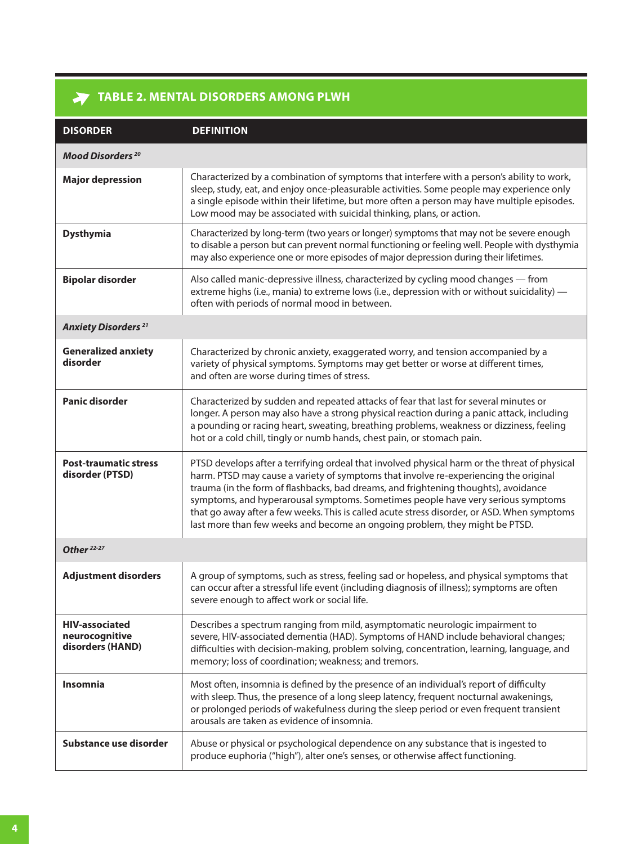# **TABLE 2. MENTAL DISORDERS AMONG PLWH**

| <b>DISORDER</b>                                             | <b>DEFINITION</b>                                                                                                                                                                                                                                                                                                                                                                                                                                                                                                                              |
|-------------------------------------------------------------|------------------------------------------------------------------------------------------------------------------------------------------------------------------------------------------------------------------------------------------------------------------------------------------------------------------------------------------------------------------------------------------------------------------------------------------------------------------------------------------------------------------------------------------------|
| Mood Disorders <sup>20</sup>                                |                                                                                                                                                                                                                                                                                                                                                                                                                                                                                                                                                |
| <b>Major depression</b>                                     | Characterized by a combination of symptoms that interfere with a person's ability to work,<br>sleep, study, eat, and enjoy once-pleasurable activities. Some people may experience only<br>a single episode within their lifetime, but more often a person may have multiple episodes.<br>Low mood may be associated with suicidal thinking, plans, or action.                                                                                                                                                                                 |
| <b>Dysthymia</b>                                            | Characterized by long-term (two years or longer) symptoms that may not be severe enough<br>to disable a person but can prevent normal functioning or feeling well. People with dysthymia<br>may also experience one or more episodes of major depression during their lifetimes.                                                                                                                                                                                                                                                               |
| <b>Bipolar disorder</b>                                     | Also called manic-depressive illness, characterized by cycling mood changes - from<br>extreme highs (i.e., mania) to extreme lows (i.e., depression with or without suicidality) -<br>often with periods of normal mood in between.                                                                                                                                                                                                                                                                                                            |
| <b>Anxiety Disorders</b> <sup>21</sup>                      |                                                                                                                                                                                                                                                                                                                                                                                                                                                                                                                                                |
| <b>Generalized anxiety</b><br>disorder                      | Characterized by chronic anxiety, exaggerated worry, and tension accompanied by a<br>variety of physical symptoms. Symptoms may get better or worse at different times,<br>and often are worse during times of stress.                                                                                                                                                                                                                                                                                                                         |
| <b>Panic disorder</b>                                       | Characterized by sudden and repeated attacks of fear that last for several minutes or<br>longer. A person may also have a strong physical reaction during a panic attack, including<br>a pounding or racing heart, sweating, breathing problems, weakness or dizziness, feeling<br>hot or a cold chill, tingly or numb hands, chest pain, or stomach pain.                                                                                                                                                                                     |
| <b>Post-traumatic stress</b><br>disorder (PTSD)             | PTSD develops after a terrifying ordeal that involved physical harm or the threat of physical<br>harm. PTSD may cause a variety of symptoms that involve re-experiencing the original<br>trauma (in the form of flashbacks, bad dreams, and frightening thoughts), avoidance<br>symptoms, and hyperarousal symptoms. Sometimes people have very serious symptoms<br>that go away after a few weeks. This is called acute stress disorder, or ASD. When symptoms<br>last more than few weeks and become an ongoing problem, they might be PTSD. |
| Other <sup>22-27</sup>                                      |                                                                                                                                                                                                                                                                                                                                                                                                                                                                                                                                                |
| <b>Adjustment disorders</b>                                 | A group of symptoms, such as stress, feeling sad or hopeless, and physical symptoms that<br>can occur after a stressful life event (including diagnosis of illness); symptoms are often<br>severe enough to affect work or social life.                                                                                                                                                                                                                                                                                                        |
| <b>HIV-associated</b><br>neurocognitive<br>disorders (HAND) | Describes a spectrum ranging from mild, asymptomatic neurologic impairment to<br>severe, HIV-associated dementia (HAD). Symptoms of HAND include behavioral changes;<br>difficulties with decision-making, problem solving, concentration, learning, language, and<br>memory; loss of coordination; weakness; and tremors.                                                                                                                                                                                                                     |
| <b>Insomnia</b>                                             | Most often, insomnia is defined by the presence of an individual's report of difficulty<br>with sleep. Thus, the presence of a long sleep latency, frequent nocturnal awakenings,<br>or prolonged periods of wakefulness during the sleep period or even frequent transient<br>arousals are taken as evidence of insomnia.                                                                                                                                                                                                                     |
| Substance use disorder                                      | Abuse or physical or psychological dependence on any substance that is ingested to<br>produce euphoria ("high"), alter one's senses, or otherwise affect functioning.                                                                                                                                                                                                                                                                                                                                                                          |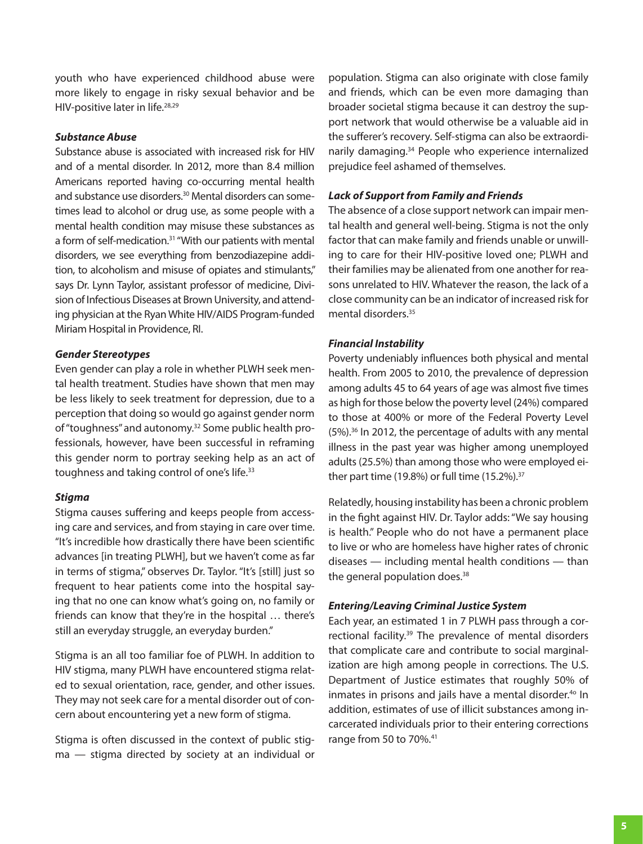youth who have experienced childhood abuse were more likely to engage in risky sexual behavior and be HIV-positive later in life.<sup>28,29</sup>

#### **Substance Abuse**

Substance abuse is associated with increased risk for HIV and of a mental disorder. In 2012, more than 8.4 million Americans reported having co-occurring mental health and substance use disorders.<sup>30</sup> Mental disorders can sometimes lead to alcohol or drug use, as some people with a mental health condition may misuse these substances as a form of self-medication.<sup>31</sup> "With our patients with mental disorders, we see everything from benzodiazepine addition, to alcoholism and misuse of opiates and stimulants," says Dr. Lynn Taylor, assistant professor of medicine, Division of Infectious Diseases at Brown University, and attending physician at the Ryan White HIV/AIDS Program-funded Miriam Hospital in Providence, RI.

#### **Gender Stereotypes**

Even gender can play a role in whether PLWH seek mental health treatment. Studies have shown that men may be less likely to seek treatment for depression, due to a perception that doing so would go against gender norm of "toughness" and autonomy.32 Some public health professionals, however, have been successful in reframing this gender norm to portray seeking help as an act of toughness and taking control of one's life.<sup>33</sup>

#### **Stigma**

Stigma causes suffering and keeps people from accessing care and services, and from staying in care over time. "It's incredible how drastically there have been scientific advances [in treating PLWH], but we haven't come as far in terms of stigma," observes Dr. Taylor. "It's [still] just so frequent to hear patients come into the hospital saying that no one can know what's going on, no family or friends can know that they're in the hospital … there's still an everyday struggle, an everyday burden."

Stigma is an all too familiar foe of PLWH. In addition to HIV stigma, many PLWH have encountered stigma related to sexual orientation, race, gender, and other issues. They may not seek care for a mental disorder out of concern about encountering yet a new form of stigma.

Stigma is often discussed in the context of public stigma — stigma directed by society at an individual or population. Stigma can also originate with close family and friends, which can be even more damaging than broader societal stigma because it can destroy the support network that would otherwise be a valuable aid in the sufferer's recovery. Self-stigma can also be extraordinarily damaging.34 People who experience internalized prejudice feel ashamed of themselves.

#### **Lack of Support from Family and Friends**

The absence of a close support network can impair mental health and general well-being. Stigma is not the only factor that can make family and friends unable or unwilling to care for their HIV-positive loved one; PLWH and their families may be alienated from one another for reasons unrelated to HIV. Whatever the reason, the lack of a close community can be an indicator of increased risk for mental disorders.35

#### **Financial Instability**

Poverty undeniably influences both physical and mental health. From 2005 to 2010, the prevalence of depression among adults 45 to 64 years of age was almost five times as high for those below the poverty level (24%) compared to those at 400% or more of the Federal Poverty Level (5%).36 In 2012, the percentage of adults with any mental illness in the past year was higher among unemployed adults (25.5%) than among those who were employed either part time (19.8%) or full time (15.2%).37

Relatedly, housing instability has been a chronic problem in the fight against HIV. Dr. Taylor adds: "We say housing is health." People who do not have a permanent place to live or who are homeless have higher rates of chronic diseases — including mental health conditions — than the general population does.<sup>38</sup>

#### **Entering/Leaving Criminal Justice System**

Each year, an estimated 1 in 7 PLWH pass through a correctional facility.<sup>39</sup> The prevalence of mental disorders that complicate care and contribute to social marginalization are high among people in corrections. The U.S. Department of Justice estimates that roughly 50% of inmates in prisons and jails have a mental disorder.<sup>40</sup> In addition, estimates of use of illicit substances among incarcerated individuals prior to their entering corrections range from 50 to 70%.<sup>41</sup>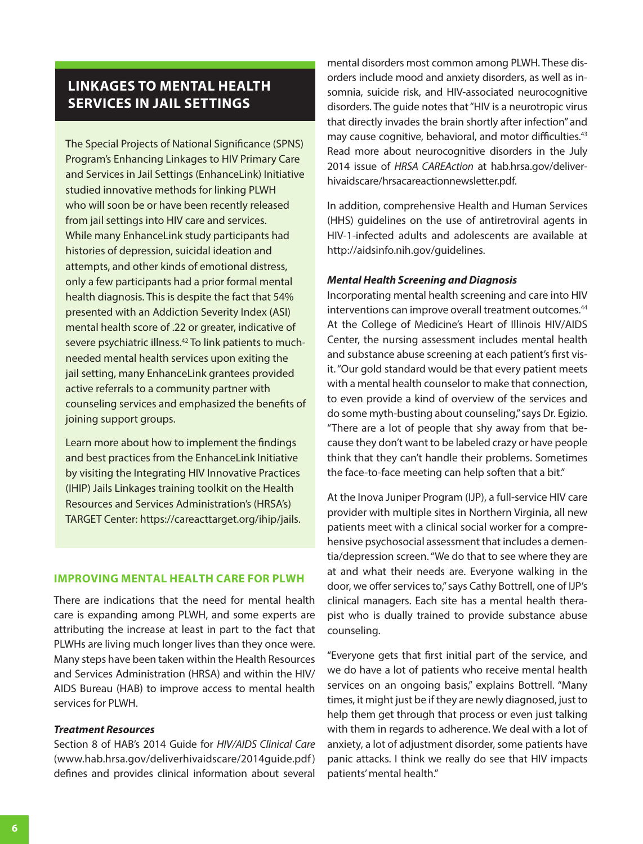# **LINKAGES TO MENTAL HEALTH SERVICES IN JAIL SETTINGS**

The Special Projects of National Significance (SPNS) Program's Enhancing Linkages to HIV Primary Care and Services in Jail Settings (EnhanceLink) Initiative studied innovative methods for linking PLWH who will soon be or have been recently released from jail settings into HIV care and services. While many EnhanceLink study participants had histories of depression, suicidal ideation and attempts, and other kinds of emotional distress, only a few participants had a prior formal mental health diagnosis. This is despite the fact that 54% presented with an Addiction Severity Index (ASI) mental health score of .22 or greater, indicative of severe psychiatric illness.42 To link patients to muchneeded mental health services upon exiting the jail setting, many EnhanceLink grantees provided active referrals to a community partner with counseling services and emphasized the benefits of joining support groups.

Learn more about how to implement the findings and best practices from the EnhanceLink Initiative by visiting the Integrating HIV Innovative Practices (IHIP) Jails Linkages training toolkit on the Health Resources and Services Administration's (HRSA's) TARGET Center: https://careacttarget.org/ihip/jails.

#### **IMPROVING MENTAL HEALTH CARE FOR PLWH**

There are indications that the need for mental health care is expanding among PLWH, and some experts are attributing the increase at least in part to the fact that PLWHs are living much longer lives than they once were. Many steps have been taken within the Health Resources and Services Administration (HRSA) and within the HIV/ AIDS Bureau (HAB) to improve access to mental health services for PLWH.

#### **Treatment Resources**

Section 8 of HAB's 2014 Guide for *HIV/AIDS Clinical Care* (www.hab.hrsa.gov/deliverhivaidscare/2014guide.pdf ) defines and provides clinical information about several

mental disorders most common among PLWH. These disorders include mood and anxiety disorders, as well as insomnia, suicide risk, and HIV-associated neurocognitive disorders. The guide notes that "HIV is a neurotropic virus that directly invades the brain shortly after infection" and may cause cognitive, behavioral, and motor difficulties.<sup>43</sup> Read more about neurocognitive disorders in the July 2014 issue of *HRSA CAREAction* at hab.hrsa.gov/deliverhivaidscare/hrsacareactionnewsletter.pdf.

In addition, comprehensive Health and Human Services (HHS) guidelines on the use of antiretroviral agents in HIV-1-infected adults and adolescents are available at http://aidsinfo.nih.gov/guidelines.

#### **Mental Health Screening and Diagnosis**

Incorporating mental health screening and care into HIV interventions can improve overall treatment outcomes.<sup>44</sup> At the College of Medicine's Heart of Illinois HIV/AIDS Center, the nursing assessment includes mental health and substance abuse screening at each patient's first visit. "Our gold standard would be that every patient meets with a mental health counselor to make that connection, to even provide a kind of overview of the services and do some myth-busting about counseling," says Dr. Egizio. "There are a lot of people that shy away from that because they don't want to be labeled crazy or have people think that they can't handle their problems. Sometimes the face-to-face meeting can help soften that a bit."

At the Inova Juniper Program (IJP), a full-service HIV care provider with multiple sites in Northern Virginia, all new patients meet with a clinical social worker for a comprehensive psychosocial assessment that includes a dementia/depression screen. "We do that to see where they are at and what their needs are. Everyone walking in the door, we offer services to," says Cathy Bottrell, one of IJP's clinical managers. Each site has a mental health therapist who is dually trained to provide substance abuse counseling.

"Everyone gets that first initial part of the service, and we do have a lot of patients who receive mental health services on an ongoing basis," explains Bottrell. "Many times, it might just be if they are newly diagnosed, just to help them get through that process or even just talking with them in regards to adherence. We deal with a lot of anxiety, a lot of adjustment disorder, some patients have panic attacks. I think we really do see that HIV impacts patients' mental health."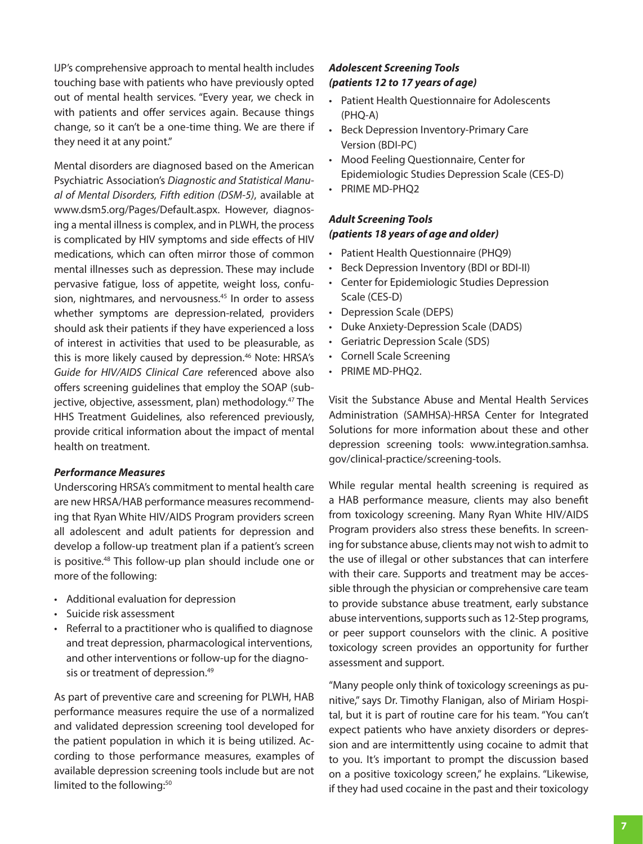IJP's comprehensive approach to mental health includes touching base with patients who have previously opted out of mental health services. "Every year, we check in with patients and offer services again. Because things change, so it can't be a one-time thing. We are there if they need it at any point."

Mental disorders are diagnosed based on the American Psychiatric Association's *Diagnostic and Statistical Manual of Mental Disorders, Fifth edition (DSM-5)*, available at www.dsm5.org/Pages/Default.aspx. However, diagnosing a mental illness is complex, and in PLWH, the process is complicated by HIV symptoms and side effects of HIV medications, which can often mirror those of common mental illnesses such as depression. These may include pervasive fatigue, loss of appetite, weight loss, confusion, nightmares, and nervousness.<sup>45</sup> In order to assess whether symptoms are depression-related, providers should ask their patients if they have experienced a loss of interest in activities that used to be pleasurable, as this is more likely caused by depression.<sup>46</sup> Note: HRSA's *Guide for HIV/AIDS Clinical Care* referenced above also offers screening guidelines that employ the SOAP (subjective, objective, assessment, plan) methodology.<sup>47</sup> The HHS Treatment Guidelines, also referenced previously, provide critical information about the impact of mental health on treatment.

#### **Performance Measures**

Underscoring HRSA's commitment to mental health care are new HRSA/HAB performance measures recommending that Ryan White HIV/AIDS Program providers screen all adolescent and adult patients for depression and develop a follow-up treatment plan if a patient's screen is positive.48 This follow-up plan should include one or more of the following:

- Additional evaluation for depression
- Suicide risk assessment
- Referral to a practitioner who is qualified to diagnose and treat depression, pharmacological interventions, and other interventions or follow-up for the diagnosis or treatment of depression.<sup>49</sup>

As part of preventive care and screening for PLWH, HAB performance measures require the use of a normalized and validated depression screening tool developed for the patient population in which it is being utilized. According to those performance measures, examples of available depression screening tools include but are not limited to the following:<sup>50</sup>

#### **Adolescent Screening Tools (patients 12 to 17 years of age)**

- Patient Health Questionnaire for Adolescents (PHQ‐A)
- Beck Depression Inventory-Primary Care Version (BDI-PC)
- Mood Feeling Questionnaire, Center for Epidemiologic Studies Depression Scale (CES-D)
- PRIME MD-PHO2

#### **Adult Screening Tools (patients 18 years of age and older)**

- Patient Health Questionnaire (PHQ9)
- Beck Depression Inventory (BDI or BDI-II)
- Center for Epidemiologic Studies Depression Scale (CES-D)
- Depression Scale (DEPS)
- Duke Anxiety-Depression Scale (DADS)
- Geriatric Depression Scale (SDS)
- Cornell Scale Screening
- PRIME MD-PHQ2.

Visit the Substance Abuse and Mental Health Services Administration (SAMHSA)-HRSA Center for Integrated Solutions for more information about these and other [depression screening tools: www.integration.samhsa.](www.integration.samhsa.gov/clinical-practice/screening-tools) gov/clinical-practice/screening-tools.

While regular mental health screening is required as a HAB performance measure, clients may also benefit from toxicology screening. Many Ryan White HIV/AIDS Program providers also stress these benefits. In screening for substance abuse, clients may not wish to admit to the use of illegal or other substances that can interfere with their care. Supports and treatment may be accessible through the physician or comprehensive care team to provide substance abuse treatment, early substance abuse interventions, supports such as 12-Step programs, or peer support counselors with the clinic. A positive toxicology screen provides an opportunity for further assessment and support.

"Many people only think of toxicology screenings as punitive," says Dr. Timothy Flanigan, also of Miriam Hospital, but it is part of routine care for his team. "You can't expect patients who have anxiety disorders or depression and are intermittently using cocaine to admit that to you. It's important to prompt the discussion based on a positive toxicology screen," he explains. "Likewise, if they had used cocaine in the past and their toxicology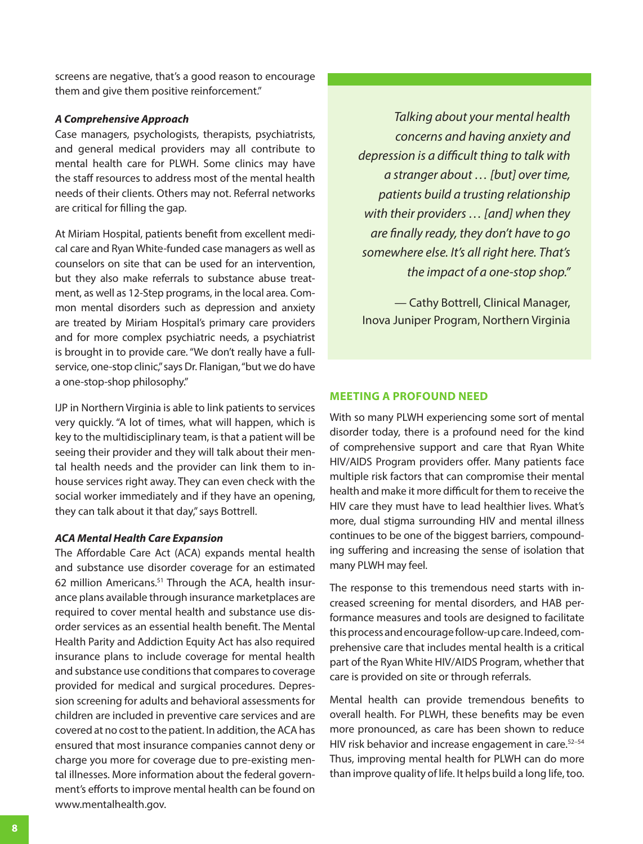screens are negative, that's a good reason to encourage them and give them positive reinforcement."

#### **A Comprehensive Approach**

Case managers, psychologists, therapists, psychiatrists, and general medical providers may all contribute to mental health care for PLWH. Some clinics may have the staff resources to address most of the mental health needs of their clients. Others may not. Referral networks are critical for filling the gap.

At Miriam Hospital, patients benefit from excellent medical care and Ryan White-funded case managers as well as counselors on site that can be used for an intervention, but they also make referrals to substance abuse treatment, as well as 12-Step programs, in the local area. Common mental disorders such as depression and anxiety are treated by Miriam Hospital's primary care providers and for more complex psychiatric needs, a psychiatrist is brought in to provide care. "We don't really have a fullservice, one-stop clinic," says Dr. Flanigan, "but we do have a one-stop-shop philosophy."

IJP in Northern Virginia is able to link patients to services very quickly. "A lot of times, what will happen, which is key to the multidisciplinary team, is that a patient will be seeing their provider and they will talk about their mental health needs and the provider can link them to inhouse services right away. They can even check with the social worker immediately and if they have an opening, they can talk about it that day," says Bottrell.

#### **ACA Mental Health Care Expansion**

The Affordable Care Act (ACA) expands mental health and substance use disorder coverage for an estimated 62 million Americans.<sup>51</sup> Through the ACA, health insurance plans available through insurance marketplaces are required to cover mental health and substance use disorder services as an essential health benefit. The Mental Health Parity and Addiction Equity Act has also required insurance plans to include coverage for mental health and substance use conditions that compares to coverage provided for medical and surgical procedures. Depression screening for adults and behavioral assessments for children are included in preventive care services and are covered at no cost to the patient. In addition, the ACA has ensured that most insurance companies cannot deny or charge you more for coverage due to pre-existing mental illnesses. More information about the federal government's efforts to improve mental health can be found on www.mentalhealth.gov.

*Talking about your mental health concerns and having anxiety and depression is a difficult thing to talk with a stranger about … [but] over time, patients build a trusting relationship with their providers … [and] when they are finally ready, they don't have to go somewhere else. It's all right here. That's the impact of a one-stop shop."* 

— Cathy Bottrell, Clinical Manager, Inova Juniper Program, Northern Virginia

#### **MEETING A PROFOUND NEED**

With so many PLWH experiencing some sort of mental disorder today, there is a profound need for the kind of comprehensive support and care that Ryan White HIV/AIDS Program providers offer. Many patients face multiple risk factors that can compromise their mental health and make it more difficult for them to receive the HIV care they must have to lead healthier lives. What's more, dual stigma surrounding HIV and mental illness continues to be one of the biggest barriers, compounding suffering and increasing the sense of isolation that many PLWH may feel.

The response to this tremendous need starts with increased screening for mental disorders, and HAB performance measures and tools are designed to facilitate this process and encourage follow-up care. Indeed, comprehensive care that includes mental health is a critical part of the Ryan White HIV/AIDS Program, whether that care is provided on site or through referrals.

Mental health can provide tremendous benefits to overall health. For PLWH, these benefits may be even more pronounced, as care has been shown to reduce HIV risk behavior and increase engagement in care.<sup>52-54</sup> Thus, improving mental health for PLWH can do more than improve quality of life. It helps build a long life, too.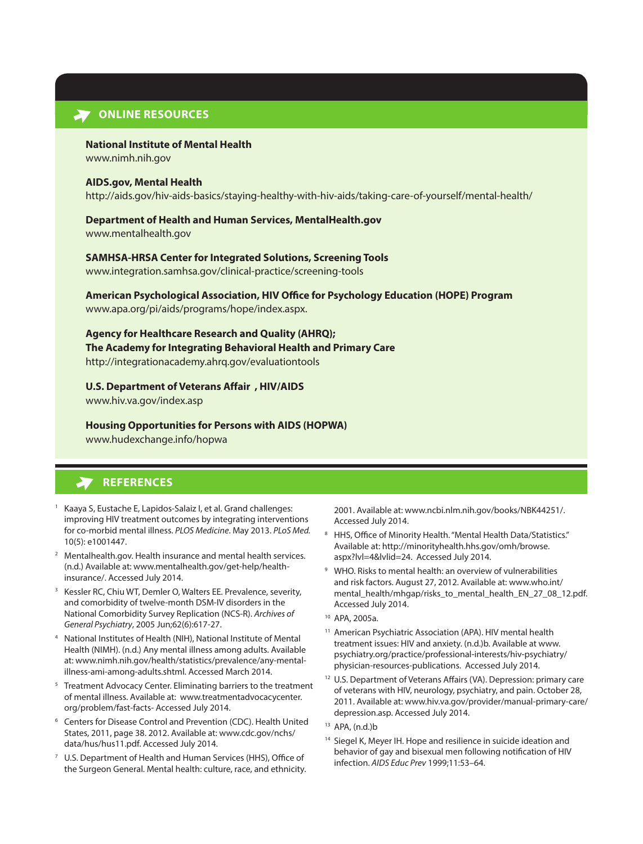#### **ONLINE RESOURCES**

#### **National Institute of Mental Health**

<www.nimh.nih.gov>

#### **AIDS.gov, Mental Health**

<http://aids.gov/hiv-aids-basics/staying-healthy-with-hiv-aids/taking-care-of-yourself/mental-health/>

#### **Department of Health and Human Services, MentalHealth.gov**

<www.mentalhealth.gov>

#### **SAMHSA-HRSA Center for Integrated Solutions, Screening Tools**

<www.integration.samhsa.gov/clinical-practice/screening-tools>

# **American Psychological Association, HIV Office for Psychology Education (HOPE) Program**

[www.apa.org/pi/aids/programs/hope/index.aspx.](www.apa.org/pi/aids/programs/hope/index.aspx) 

#### **Agency for Healthcare Research and Quality (AHRQ);**

**The Academy for Integrating Behavioral Health and Primary Care** <http://integrationacademy.ahrq.gov/evaluationtools>

#### **U.S. Department of Veterans Affair , HIV/AIDS**

<www.hiv.va.gov/index.asp>

#### **Housing Opportunities for Persons with AIDS (HOPWA)**

<www.hudexchange.info/hopwa>

# **REFERENCES**

- 1 Kaaya S, Eustache E, Lapidos-Salaiz I, et al. Grand challenges: improving HIV treatment outcomes by integrating interventions for co-morbid mental illness. *PLOS Medicine*. May 2013. *PLoS Med.* 10(5): e1001447.
- <sup>2</sup> Mentalhealth.gov. Health insurance and mental health services. [\(n.d.\) Available at: www.mentalhealth.gov/get-help/health](http://www.mentalhealth.gov/get-help/health-insurance/)insurance/. Accessed July 2014.
- 3 Kessler RC, Chiu WT, Demler O, Walters EE. Prevalence, severity, and comorbidity of twelve-month DSM-IV disorders in the National Comorbidity Survey Replication (NCS-R). *Archives of General Psychiatry*, 2005 Jun;62(6):617-27.
- 4 National Institutes of Health (NIH), National Institute of Mental Health (NIMH). (n.d.) Any mental illness among adults. Available [at: www.nimh.nih.gov/health/statistics/prevalence/any-mental](www.nimh.nih.gov/health/statistics/prevalence/any-mental-illness-ami-among-adults.shtml)illness-ami-among-adults.shtml. Accessed March 2014.
- <sup>5</sup> Treatment Advocacy Center. Eliminating barriers to the treatment [of mental illness. Available at: www.treatmentadvocacycenter.](www.treatmentadvocacycenter.org/problem/fast-facts-) org/problem/fast-facts- Accessed July 2014.
- 6 Centers for Disease Control and Prevention (CDC). Health United [States, 2011, page 38. 2012. Available at: www.cdc.gov/nchs/](http://www.cdc.gov/nchs/data/hus/hus11.pdf) data/hus/hus11.pdf. Accessed July 2014.
- U.S. Department of Health and Human Services (HHS), Office of the Surgeon General. Mental health: culture, race, and ethnicity.

2001. Available at: www.ncbi.nlm.nih.gov/books/NBK44251/. Accessed July 2014.

- 8 HHS, Office of Minority Health. "Mental Health Data/Statistics." [Available at: http://minorityhealth.hhs.gov/omh/browse.](http://minorityhealth.hhs.gov/omh/browse.aspx?lvl=4&lvlid=24) aspx?lvl=4&lvlid=24. Accessed July 2014.
- 9 WHO. Risks to mental health: an overview of vulnerabilities and risk factors. August 27, 2012. Available at: www.who.int/ [mental\\_health/mhgap/risks\\_to\\_mental\\_health\\_EN\\_27\\_08\\_12.pdf.](http://www.who.int/mental_health/mhgap/risks_to_mental_health_EN_27_08_12.pdf)  Accessed July 2014.
- 10 APA, 2005a.
- <sup>11</sup> American Psychiatric Association (APA). HIV mental health treatment issues: HIV and anxiety. (n.d.)b. Available at www. [psychiatry.org/practice/professional-interests/hiv-psychiatry/](www.psychiatry.org/practice/professional-interests/hiv-psychiatry/physician-resources-publications) physician-resources-publications. Accessed July 2014.
- <sup>12</sup> U.S. Department of Veterans Affairs (VA). Depression: primary care of veterans with HIV, neurology, psychiatry, and pain. October 28, [2011. Available at: www.hiv.va.gov/provider/manual-primary-care/](http://www.hiv.va.gov/provider/manual-primary-care/depression.asp) depression.asp. Accessed July 2014.
- 13 APA, (n.d.)b
- <sup>14</sup> Siegel K, Meyer IH. Hope and resilience in suicide ideation and behavior of gay and bisexual men following notification of HIV infection. *AIDS Educ Prev* 1999;11:53–64.